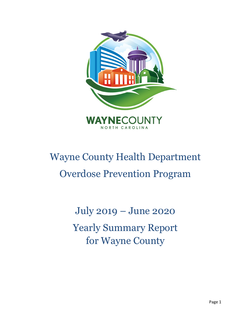

# Wayne County Health Department Overdose Prevention Program

July 2019 – June 2020 Yearly Summary Report for Wayne County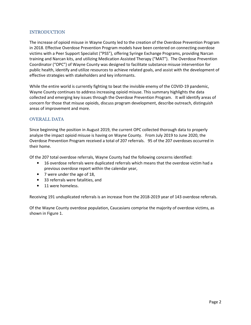## INTRODUCTION

The increase of opioid misuse in Wayne County led to the creation of the Overdose Prevention Program in 2018. Effective Overdose Prevention Program models have been centered on connecting overdose victims with a Peer Support Specialist ("PSS"), offering Syringe Exchange Programs, providing Narcan training and Narcan kits, and utilizing Medication Assisted Therapy ("MAT"). The Overdose Prevention Coordinator ("OPC") of Wayne County was designed to facilitate substance misuse intervention for public health, identify and utilize resources to achieve related goals, and assist with the development of effective strategies with stakeholders and key informants.

While the entire world is currently fighting to beat the invisible enemy of the COVID-19 pandemic, Wayne County continues to address increasing opioid misuse. This summary highlights the data collected and emerging key issues through the Overdose Prevention Program. It will identify areas of concern for those that misuse opioids, discuss program development, describe outreach, distinguish areas of improvement and more.

### OVERALL DATA

Since beginning the position in August 2019, the current OPC collected thorough data to properly analyze the impact opioid misuse is having on Wayne County. From July 2019 to June 2020, the Overdose Prevention Program received a total of 207 referrals. 95 of the 207 overdoses occurred in their home.

Of the 207 total overdose referrals, Wayne County had the following concerns identified:

- 16 overdose referrals were duplicated referrals which means that the overdose victim had a previous overdose report within the calendar year,
- 7 were under the age of 18,
- 33 referrals were fatalities, and
- 11 were homeless.

Receiving 191 unduplicated referrals is an increase from the 2018-2019 year of 143 overdose referrals.

Of the Wayne County overdose population, Caucasians comprise the majority of overdose victims, as shown in Figure 1.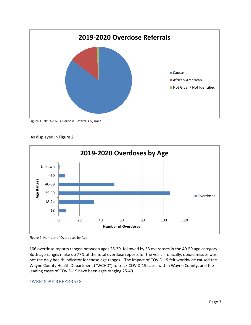

Figure 1: 2019-2020 Overdose Referrals by Race



As displayed in Figure 2,



106 overdose reports ranged between ages 25-39, followed by 53 overdoses in the 40-59 age category. Both age ranges make up 77% of the total overdose reports for the year. Ironically, opioid misuse was not the only health indicator for these age ranges. The impact of COVID-19 felt worldwide caused the Wayne County Health Department ("WCHD") to track COVID-19 cases within Wayne County, and the leading cases of COVID-19 have been ages ranging 25-49.

# OVERDOSE REFERRALS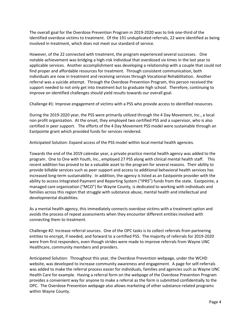The overall goal for the Overdose Prevention Program in 2019-2020 was to link one-third of the identified overdose victims to treatment. Of the 191 unduplicated referrals, 22 were identified as being involved in treatment, which does not meet our standard of service.

However, of the 22 connected with treatment, the program experienced several successes. One notable achievement was bridging a high-risk individual that overdosed six times in the last year to applicable services. Another accomplishment was developing a relationship with a couple that could not find proper and affordable resources for treatment. Through consistent communication, both individuals are now in treatment and receiving services through Vocational Rehabilitation. Another referral was a suicide attempt. Through the Overdose Prevention Program, this person received the support needed to not only get into treatment but to graduate high school. Therefore, continuing to improve on identified challenges should yield results towards our overall goal.

Challenge #1: Improve engagement of victims with a PSS who provide access to identified resources.

During the 2019-2020 year, the PSS were primarily utilized through the 4 Day Movement, Inc., a local non profit organization. At the onset, they employed two certified PSS and a supervisor, who is also certified in peer support. The efforts of the 4 Day Movement PSS model were sustainable through an Eastpointe grant which provided funds for services rendered.

Anticipated Solution: Expand access of the PSS model within local mental health agencies.

Towards the end of the 2019 calendar year, a private practice mental health agency was added to the program. One to One with Youth, Inc., employed 27 PSS along with clinical mental health staff. This recent addition has proved to be a valuable asset to the program for several reasons. Their ability to provide billable services such as peer support and access to additional behavioral health services has increased long-term sustainability. In addition, the agency is listed as an Eastpointe provider with the ability to access Integrated Payment and Reporting System ("IPRS") funds from the state. Eastpointe, a managed care organization ("MCO") for Wayne County, is dedicated to working with individuals and families across this region that struggle with substance abuse, mental health and intellectual and developmental disabilities.

As a mental health agency, this immediately connects overdose victims with a treatment option and avoids the process of repeat assessments when they encounter different entities involved with connecting them to treatment.

Challenge #2: Increase referral sources. One of the OPC tasks is to collect referrals from partnering entities to encrypt, if needed, and forward to a certified PSS. The majority of referrals for 2019-2020 were from first responders, even though strides were made to improve referrals from Wayne UNC Healthcare, community members and providers.

Anticipated Solution: Throughout this year, the Overdose Prevention webpage, under the WCHD website, was developed to increase community awareness and engagement. A page for self-referrals was added to make the referral process easier for individuals, families and agencies such as Wayne UNC Health Care for example. Having a referral form on the webpage of the Overdose Prevention Program provides a convenient way for anyone to make a referral as the form is submitted confidentially to the OPC. The Overdose Prevention webpage also allows marketing of other substance-related programs within Wayne County.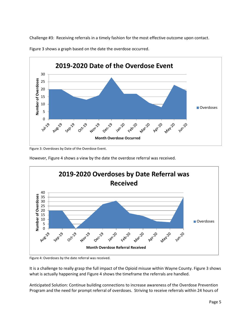Challenge #3: Receiving referrals in a timely fashion for the most effective outcome upon contact.



Figure 3 shows a graph based on the date the overdose occurred.

Figure 3: Overdoses by Date of the Overdose Event.

However, Figure 4 shows a view by the date the overdose referral was received.



Figure 4: Overdoses by the date referral was received.

It is a challenge to really grasp the full impact of the Opioid misuse within Wayne County. Figure 3 shows what is actually happening and Figure 4 shows the timeframe the referrals are handled.

Anticipated Solution: Continue building connections to increase awareness of the Overdose Prevention Program and the need for prompt referral of overdoses. Striving to receive referrals within 24 hours of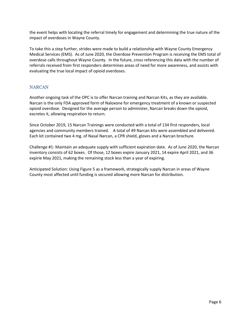the event helps with locating the referral timely for engagement and determining the true nature of the impact of overdoses in Wayne County.

To take this a step further, strides were made to build a relationship with Wayne County Emergency Medical Services (EMS). As of June 2020, the Overdose Prevention Program is receiving the EMS total of overdose calls throughout Wayne County. In the future, cross referencing this data with the number of referrals received from first responders determines areas of need for more awareness, and assists with evaluating the true local impact of opioid overdoses.

# **NARCAN**

Another ongoing task of the OPC is to offer Narcan training and Narcan Kits, as they are available. Narcan is the only FDA approved form of Naloxone for emergency treatment of a known or suspected opioid overdose. Designed for the average person to administer, Narcan breaks down the opioid, excretes it, allowing respiration to return.

Since October 2019, 15 Narcan Trainings were conducted with a total of 134 first responders, local agencies and community members trained. A total of 49 Narcan kits were assembled and delivered. Each kit contained two 4 mg. of Nasal Narcan, a CPR shield, gloves and a Narcan brochure.

Challenge #1: Maintain an adequate supply with sufficient expiration date. As of June 2020, the Narcan inventory consists of 62 boxes. Of those, 12 boxes expire January 2021, 14 expire April 2021, and 36 expirie May 2021, making the remaining stock less than a year of expiring.

Anticipated Solution: Using Figure 5 as a framework, strategically supply Narcan in areas of Wayne County most affected until funding is secured allowing more Narcan for distribution.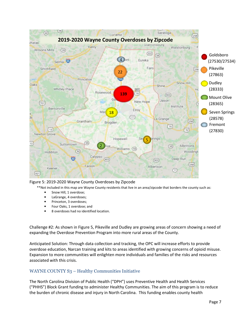

#### Figure 5: 2019-2020 Wayne County Overdoses by Zipcode

\*\*Not included in this map are Wayne County residents that live in an area/zipcode that borders the county such as:

- Snow Hill, 1 overdose;
- LaGrange, 4 overdoses;
- Princeton, 3 overdoses;
- Four Oaks, 1 overdose; and
- 8 overdoses had no identified location.

Challenge #2: As shown in Figure 5, Pikeville and Dudley are growing areas of concern showing a need of expanding the Overdose Prevention Program into more rural areas of the County.

Anticipated Solution: Through data collection and tracking, the OPC will increase efforts to provide overdose education, Narcan training and kits to areas identified with growing concerns of opioid misuse. Expansion to more communities will enlighten more individuals and families of the risks and resources associated with this crisis.

# WAYNE COUNTY S<sub>3</sub> – Healthy Communities Initiative

The North Carolina Division of Public Health ("DPH") uses Preventive Health and Health Services ("PHHS") Block Grant funding to administer Healthy Communities. The aim of this program is to reduce the burden of chronic disease and injury in North Carolina. This funding enables county health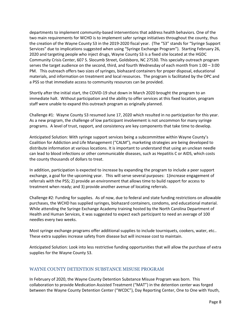departments to implement community-based interventions that address health behaviors. One of the two main requirements for WCHD is to implement safer syringe initiatives throughout the county, thus the creation of the Wayne County S3 in the 2019-2020 fiscal year. (The "S3" stands for "Syringe Support Services" due to implications suggested when using "Syringe Exchange Program"). Starting February 26, 2020 and targeting people who inject drugs, Wayne County S3 is a fixed site located at the HGDC Community Crisis Center, 607 S. Slocumb Street, Goldsboro, NC 27530. This specialty outreach program serves the target audience on the second, third, and fourth Wednesday of each month from 1:00 – 3:00 PM. This outreach offers two sizes of syringes, biohazard containers for proper disposal, educational materials, and information on treatment and local resources. The program is facilitated by the OPC and a PSS so that immediate access to community resources can be provided.

Shortly after the initial start, the COVID-19 shut down in March 2020 brought the program to an immediate halt. Without participation and the ability to offer services at this fixed location, program staff were unable to expand this outreach program as originally planned.

Challenge #1: Wayne County S3 resumed June 17, 2020 which resulted in no participation for this year. As a new program, the challenge of low participant involvement is not uncommon for many syringe programs. A level of trust, rapport, and consistency are key components that take time to develop.

Anticipated Solution: With syringe support services being a subcommittee within Wayne County's Coalition for Addiction and Life Management ("CALM"), marketing strategies are being developed to distribute information at various locations. It is important to understand that using an unclean needle can lead to blood infections or other communicable diseases, such as Hepatitis C or AIDS, which costs the county thousands of dollars to treat.

In addition, participation is expected to increase by expanding the program to include a peer support exchange, a goal for the upcoming year. This will serve several purposes: 1)increase engagement of referrals with the PSS; 2) provide an environment that allows time to build rapport for access to treatment when ready; and 3) provide another avenue of locating referrals.

Challenge #2: Funding for supplies. As of now, due to federal and state funding restrictions on allowable purchases, the WCHD has supplied syringes, biohazard containers, condoms, and educational material. While attending the Syringe Exchange Academy training hosted by the North Carolina Department of Health and Human Services, it was suggested to expect each participant to need an average of 100 needles every two weeks.

Most syringe exchange programs offer additional supplies to include tourniquets, cookers, water, etc.. These extra supplies increase safety from disease but will increase cost to maintain.

Anticipated Solution: Look into less restrictive funding opportunities that will allow the purchase of extra supplies for the Wayne County S3.

#### WAYNE COUNTY DETENTION SUBSTANCE MISUSE PROGRAM

In February of 2020, the Wayne County Detention Substance Misuse Program was born. This collaboration to provide Medication Assisted Treatment ("MAT") in the detention center was forged between the Wayne County Detention Center ("WCDC"), Day Reporting Center, One to One with Youth,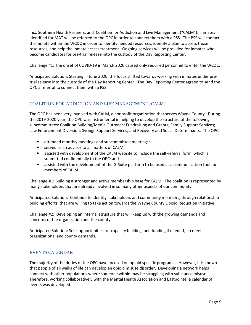Inc., Southern Health Partners, and Coalition for Addiction and Live Management ("CALM"). Inmates identified for MAT will be referred to the OPC in order to connect them with a PSS. The PSS will contact the inmate within the WCDC in order to identify needed resources, identify a plan to access those resources, and help the inmate access treatment. Ongoing services will be provided for inmates who become candidates for pre-trial release into the custody of the Day Reporting Center.

Challenge #1: The onset of COVID-19 in March 2020 caused only required personnel to enter the WCDC.

Anticipated Solution: Starting in June 2020, the focus shifted towards working with inmates under pretrial release into the custody of the Day Reporting Center. The Day Reporting Center agreed to send the OPC a referral to connect them with a PSS.

# COALITION FOR ADDICTION AND LIFE MANAGEMENT (CALM)

The OPC has been very involved with CALM, a nonprofit organization that serves Wayne County. During the 2019-2020 year, the OPC was instrumental in helping to develop the structure of the following subcommittees: Coalition Building/Media Outreach; Fundraising and Grants; Family Support Services; Law Enforcement Diversion; Syringe Support Services; and Recovery and Social Determinants. The OPC

- attended monthly meetings and subcommittee meetings;
- served as an advisor to all matters of CALM;
- assisted with development of the CALM website to include the self-referral form, which is submitted confidentially to the OPC; and
- assisted with the development of the G-Suite platform to be used as a communication tool for members of CALM.

Challenge #1: Building a stronger and active membership base for CALM. The coalition is represented by many stakeholders that are already involved in so many other aspects of our community.

Anticipated Solution: Continue to identify stakeholders and community members, through relationship building efforts, that are willing to take action towards the Wayne County Opioid Reduction Initiative.

Challenge #2: Developing an internal structure that will keep up with the growing demands and concerns of the organization and the county.

Anticipated Solution: Seek opportunities for capacity building, and funding if needed, to meet organizational and county demands.

# EVENTS CALENDAR

The majority of the duties of the OPC have focused on opioid specific programs. However, it is known that people of all walks of life can develop an opioid misuse disorder. Developing a network helps connect with other populations where someone within may be struggling with substance misuse. Therefore, working collaboratively with the Mental Health Association and Eastpointe, a calendar of events was developed.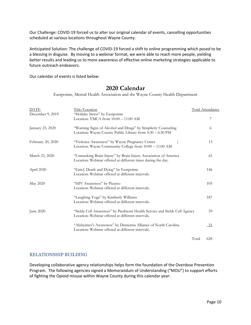Our Challenge: COVID-19 forced us to alter our original calendar of events, cancelling opportunities scheduled at various locations throughout Wayne County.

Anticipated Solution: The challenge of COVID-19 forced a shift to online programming which posed to be a blessing in disguise. By moving to a webinar format, we were able to reach more people, yielding better results and leading us to more awareness of effective online marketing strategies applicable to future outreach endeavors.

Our calendar of events is listed below:

# 2020 Calendar

Eastpointe, Mental Health Association and the Wayne County Health Department

| <b>DATE</b>       | Title/Location                                                                                                                  | <b>Total Attendance</b> |
|-------------------|---------------------------------------------------------------------------------------------------------------------------------|-------------------------|
| December 9, 2019  | "Holiday Stress" by Eastpointe<br>Location: YMCA from $10:00 - 11:00$ AM                                                        | 7                       |
| January 23, 2020  | "Warning Signs of Alcohol and Drugs" by Simplicity Counseling<br>Location: Wayne County Public Library from 5:30 - 6:30 PM      | 6                       |
| February 20, 2020 | "Violence Awareness" by Wayne Pregnancy Center<br>Location: Wayne Community College from 10:00 - 11:00 AM                       | 13                      |
| March 23, 2020    | "Unmasking Brain Injury" by Brain Injury Association of America<br>Location: Webinar offered at different times during the day. | 61                      |
| April 2020        | "Grief, Death and Dying" by Eastpointe<br>Location: Webinar offered at different intervals.                                     | 146                     |
| May 2020          | "HIV Awareness" by Picasso<br>Location: Webinar offered at different intervals.                                                 | 105                     |
|                   | "Laughing Yoga" by Kimberly Williams<br>Location: Webinar offered at different intervals.                                       | 187                     |
| June 2020         | "Sickle Cell Awareness" by Piedmont Health Service and Sickle Cell Agency<br>Location: Webinar offered at different intervals.  | 59                      |
|                   | "Alzheimer's Awareness" by Dementia Alliance of North Carolina<br>Location: Webinar offered at different intervals.             | <u>_51</u>              |
|                   |                                                                                                                                 | Total<br>628            |

# RELATIONSHIP BUILDING

Developing collaborative agency relationships helps form the foundation of the Overdose Prevention Program. The following agencies signed a Memorandum of Understanding ("MOU") to support efforts of fighting the Opioid misuse within Wayne County during this calendar year: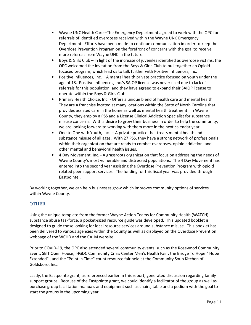- Wayne UNC Health Care –The Emergency Department agreed to work with the OPC for referrals of identified overdoses received within the Wayne UNC Emergency Department. Efforts have been made to continue communication in order to keep the Overdose Prevention Program on the forefront of concerns with the goal to receive more referrals from Wayne UNC in the future.
- Boys & Girls Club In light of the increase of juveniles identified as overdose victims, the OPC welcomed the invitation from the Boys & Girls Club to pull together an Opioid focused program, which lead us to talk further with Positive Influences, Inc.
- Positive Influences, Inc. A mental health private practice focused on youth under the age of 18. Positive Influences, Inc.'s SAIOP license was never used due to lack of referrals for this population, and they have agreed to expand their SAIOP license to operate within the Boys & Girls Club.
- Primary Health Choice, Inc. Offers a unique blend of health care and mental health. They are a franchise located at many locations within the State of North Carolina that provides assisted care in the home as well as mental health treatment. In Wayne County, they employ a PSS and a License Clinical Addiction Specialist for substance misuse concerns. With a desire to grow their business in order to help the community, we are looking forward to working with them more in the next calendar year.
- One to One with Youth, Inc. A private practice that treats mental health and substance misuse of all ages. With 27 PSS, they have a strong network of professionals within their organization that are ready to combat overdoses, opioid addiction, and other mental and behavioral health issues.
- 4 Day Movement, Inc. A grassroots organization that focus on addressing the needs of Wayne County's most vulnerable and distressed populations. The 4 Day Movement has entered into the second year assisting the Overdose Prevention Program with opioid related peer support services. The funding for this fiscal year was provided through Eastpointe .

By working together, we can help businesses grow which improves community options of services within Wayne County.

# **OTHER**

Using the unique template from the former Wayne Action Teams for Community Health (WATCH) substance abuse taskforce, a pocket-sized resource guide was developed. This updated booklet is designed to guide those looking for local resource services around substance misuse. This booklet has been delivered to various agencies within the County as well as displayed on the Overdose Prevention webpage of the WCHD and the CALM website.

Prior to COVID-19, the OPC also attended several community events such as the Rosewood Community Event, SEIT Open House, HGDC Community Crisis Center Men's Health Fair , the Bridge To Hope " Hope Extended" , and the "Point in Time" count resource fair held at the Community Soup Kitchen of Goldsboro, Inc..

Lastly, the Eastpointe grant, as referenced earlier in this report, generated discussion regarding family support groups. Because of the Eastpointe grant, we could identify a facilitator of the group as well as purchase group facilitation manuals and equipment such as chairs, table and a podium with the goal to start the groups in the upcoming year.